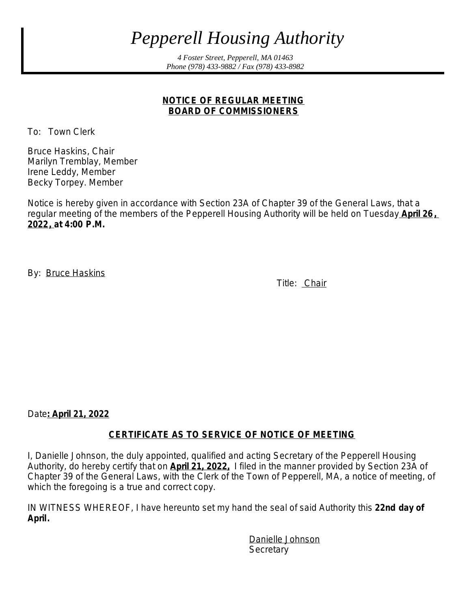# *Pepperell Housing Authority*

*4 Foster Street, Pepperell, MA 01463 Phone (978) 433-9882 / Fax (978) 433-8982*

#### **NOTICE OF REGULAR MEETING BOARD OF COMMISSIONERS**

To: Town Clerk

Bruce Haskins, Chair Marilyn Tremblay, Member Irene Leddy, Member Becky Torpey. Member

Notice is hereby given in accordance with Section 23A of Chapter 39 of the General Laws, that a regular meeting of the members of the Pepperell Housing Authority will be held on Tuesday **April 26, 2022, at 4:00 P.M.**

By: Bruce Haskins

Title: Chair

Date**: April 21, 2022**

#### **CERTIFICATE AS TO SERVICE OF NOTICE OF MEETING**

I, Danielle Johnson, the duly appointed, qualified and acting Secretary of the Pepperell Housing Authority, do hereby certify that on **April 21, 2022,** I filed in the manner provided by Section 23A of Chapter 39 of the General Laws, with the Clerk of the Town of Pepperell, MA, a notice of meeting, of which the foregoing is a true and correct copy.

IN WITNESS WHEREOF, I have hereunto set my hand the seal of said Authority this **22nd day of April.**

> Danielle Johnson **Secretary**